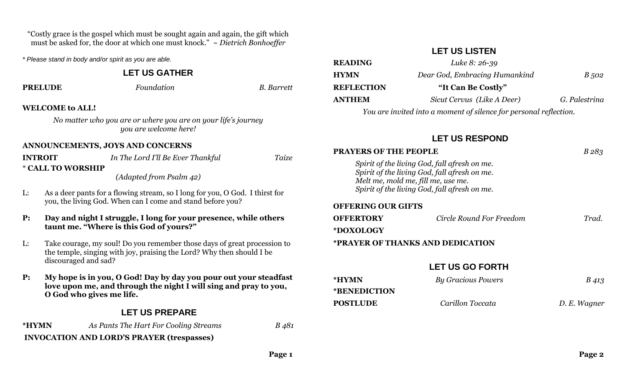"Costly grace is the gospel which must be sought again and again, the gift which must be asked for, the door at which one must knock." *~ Dietrich Bonhoeffer*

*\* Please stand in body and/or spirit as you are able.*

# **LET US GATHER**

**PRELUDE** *Foundation B. Barrett*

#### **WELCOME to ALL!**

*No matter who you are or where you are on your life's journey you are welcome here!*

#### **ANNOUNCEMENTS, JOYS AND CONCERNS**

**INTROIT** *In The Lord I'll Be Ever Thankful Taize* \* **CALL TO WORSHIP** *(Adapted from Psalm 42)*

- L: As a deer pants for a flowing stream, so I long for you, O God. I thirst for you, the living God. When can I come and stand before you?
- **P: Day and night I struggle, I long for your presence, while others taunt me. "Where is this God of yours?"**
- L: Take courage, my soul! Do you remember those days of great procession to the temple, singing with joy, praising the Lord? Why then should I be discouraged and sad?
- **P: My hope is in you, O God! Day by day you pour out your steadfast love upon me, and through the night I will sing and pray to you, O God who gives me life.**

# **LET US PREPARE**

**\*HYMN** *As Pants The Hart For Cooling Streams B 481* 

#### **INVOCATION AND LORD'S PRAYER (trespasses)**

 **LET US LISTEN**

| <b>READING</b>                                                                                                        | Luke 8: 26-39                 |               |  |
|-----------------------------------------------------------------------------------------------------------------------|-------------------------------|---------------|--|
| HYMN                                                                                                                  | Dear God, Embracing Humankind | <i>B</i> 502  |  |
| <b>REFLECTION</b>                                                                                                     | "It Can Be Costly"            |               |  |
| <b>ANTHEM</b>                                                                                                         | Sicut Cervus (Like A Deer)    | G. Palestrina |  |
| $\mathbf{v}$ , $\mathbf{v}$ , $\mathbf{v}$ , $\mathbf{v}$ , $\mathbf{v}$ , $\mathbf{v}$ , $\mathbf{v}$ , $\mathbf{v}$ |                               |               |  |

*You are invited into a moment of silence for personal reflection.*

# **LET US RESPOND**

#### **PRAYERS OF THE PEOPLE** *B 283*

*Spirit of the living God, fall afresh on me. Spirit of the living God, fall afresh on me. Melt me, mold me, fill me, use me. Spirit of the living God, fall afresh on me.*

#### **OFFERING OUR GIFTS**

| <b>OFFERTORY</b> | Circle Round For Freedom | Trad. |
|------------------|--------------------------|-------|
| *DOXOLOGY        |                          |       |

**\*PRAYER OF THANKS AND DEDICATION**

# **LET US GO FORTH**

| *HYMN           | By Gracious Powers | B 413        |
|-----------------|--------------------|--------------|
| *BENEDICTION    |                    |              |
| <b>POSTLUDE</b> | Carillon Toccata   | D. E. Wagner |